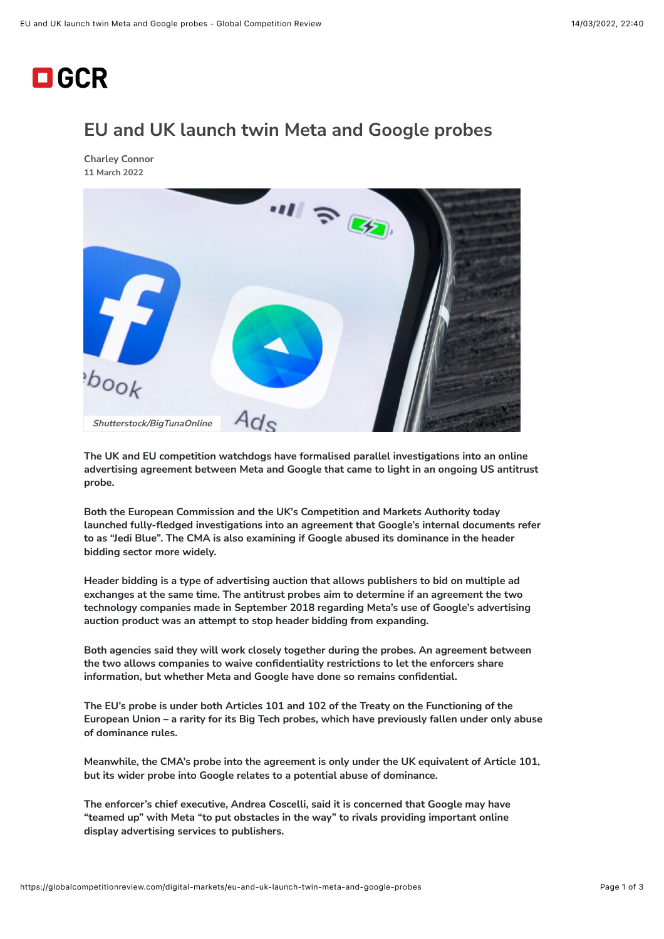## $\Box$  GCR

## **EU and UK launch twin Meta and Google probes**

**[Charley Connor](https://globalcompetitionreview.com/authors/charley-connor) 11 March 2022**



**The UK and EU competition watchdogs have formalised parallel investigations into an online advertising agreement between Meta and Google that came to light in an ongoing US antitrust probe.**

**Both the European Commission and the UK's Competition and Markets Authority today launched fully-fledged investigations into an agreement that Google's internal documents refer to as "Jedi Blue". The CMA is also examining if Google abused its dominance in the header bidding sector more widely.**

**Header bidding is a type of advertising auction that allows publishers to bid on multiple ad exchanges at the same time. The antitrust probes aim to determine if an agreement the two technology companies made in September 2018 regarding Meta's use of Google's advertising auction product was an attempt to stop header bidding from expanding.**

**Both agencies said they will work closely together during the probes. An agreement between the two allows companies to waive confidentiality restrictions to let the enforcers share information, but whether Meta and Google have done so remains confidential.**

**The EU's probe is under both Articles 101 and 102 of the Treaty on the Functioning of the European Union – a rarity for its Big Tech probes, which have previously fallen under only abuse of dominance rules.**

**Meanwhile, the CMA's probe into the agreement is only under the UK equivalent of Article 101, but its wider probe into Google relates to a potential abuse of dominance.**

**The enforcer's chief executive, Andrea Coscelli, said it is concerned that Google may have "teamed up" with Meta "to put obstacles in the way" to rivals providing important online display advertising services to publishers.**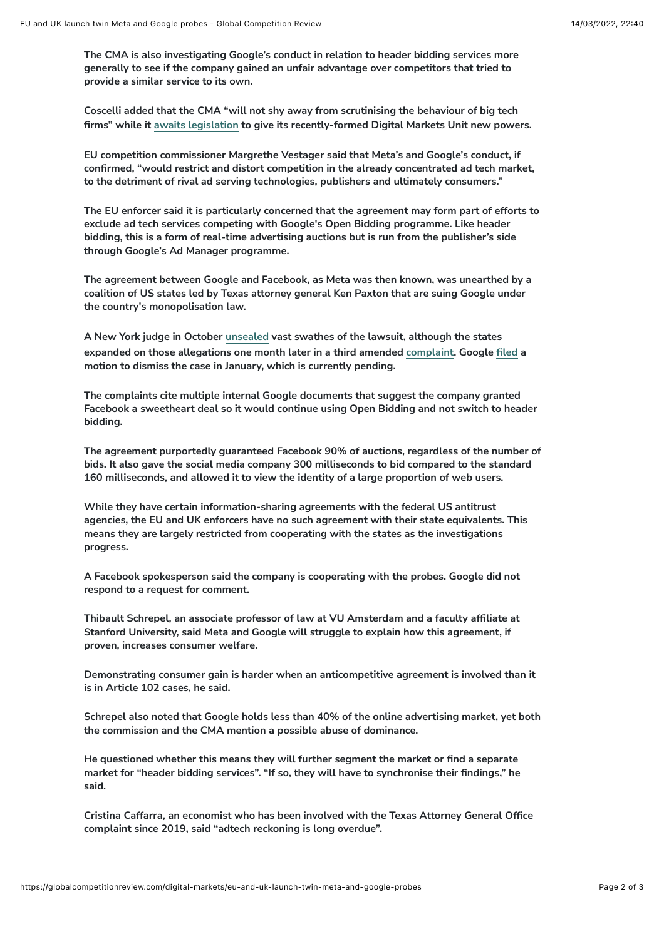**The CMA is also investigating Google's conduct in relation to header bidding services more generally to see if the company gained an unfair advantage over competitors that tried to provide a similar service to its own.**

**Coscelli added that the CMA "will not shy away from scrutinising the behaviour of big tech firms" while it [awaits legislation](https://globalcompetitionreview.com/digital-markets/coscelli-frustrated-lack-of-digital-regulation) to give its recently-formed Digital Markets Unit new powers.**

**EU competition commissioner Margrethe Vestager said that Meta's and Google's conduct, if confirmed, "would restrict and distort competition in the already concentrated ad tech market, to the detriment of rival ad serving technologies, publishers and ultimately consumers."**

**The EU enforcer said it is particularly concerned that the agreement may form part of efforts to exclude ad tech services competing with Google's Open Bidding programme. Like header bidding, this is a form of real-time advertising auctions but is run from the publisher's side through Google's Ad Manager programme.**

**The agreement between Google and Facebook, as Meta was then known, was unearthed by a coalition of US states led by Texas attorney general Ken Paxton that are suing Google under the country's monopolisation law.**

**A New York judge in October [unsealed](https://globalcompetitionreview.com/gcr-usa/digital-markets/texas-says-google-collects-ad-commissions-high-42) vast swathes of the lawsuit, although the states expanded on those allegations one month later in a third amended [complaint.](https://files.lbr.cloud/public/2021-11/Third%20amended%20complaint%20.pdf?VersionId=10SkT7N6MMj8_ManQ5U4PKXI7Ce4JCVg) Google [filed](https://globalcompetitionreview.com/gcr-usa/gafa/google-asks-court-throw-out-texas-led-monopolisation-case) a motion to dismiss the case in January, which is currently pending.**

**The complaints cite multiple internal Google documents that suggest the company granted Facebook a sweetheart deal so it would continue using Open Bidding and not switch to header bidding.**

**The agreement purportedly guaranteed Facebook 90% of auctions, regardless of the number of bids. It also gave the social media company 300 milliseconds to bid compared to the standard 160 milliseconds, and allowed it to view the identity of a large proportion of web users.**

**While they have certain information-sharing agreements with the federal US antitrust agencies, the EU and UK enforcers have no such agreement with their state equivalents. This means they are largely restricted from cooperating with the states as the investigations progress.**

**A Facebook spokesperson said the company is cooperating with the probes. Google did not respond to a request for comment.**

**Thibault Schrepel, an associate professor of law at VU Amsterdam and a faculty affiliate at Stanford University, said Meta and Google will struggle to explain how this agreement, if proven, increases consumer welfare.**

**Demonstrating consumer gain is harder when an anticompetitive agreement is involved than it is in Article 102 cases, he said.**

**Schrepel also noted that Google holds less than 40% of the online advertising market, yet both the commission and the CMA mention a possible abuse of dominance.** 

**He questioned whether this means they will further segment the market or find a separate market for "header bidding services". "If so, they will have to synchronise their findings," he said.**

**Cristina Caffarra, an economist who has been involved with the Texas Attorney General Office complaint since 2019, said "adtech reckoning is long overdue".**